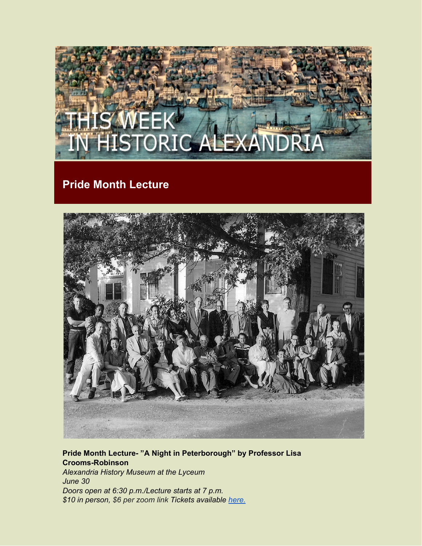

## **Pride Month Lecture**



## **Pride Month Lecture- "A Night in Peterborough" by Professor Lisa Crooms-Robinson** *Alexandria History Museum at the Lyceum June 30 Doors open at 6:30 p.m./Lecture starts at 7 p.m. \$10 in person, \$6 per zoom link Tickets available [here.](https://alexandriava.gov/shop)*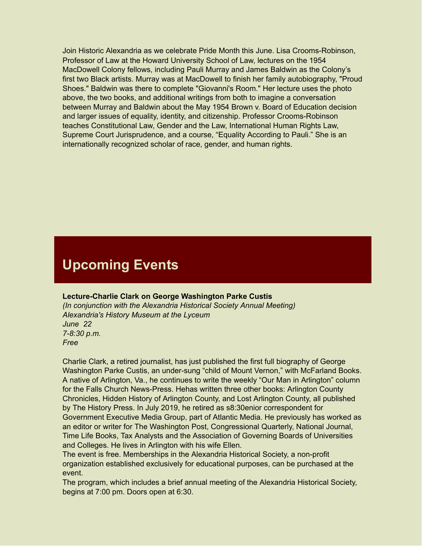Join Historic Alexandria as we celebrate Pride Month this June. Lisa Crooms-Robinson, Professor of Law at the Howard University School of Law, lectures on the 1954 MacDowell Colony fellows, including Pauli Murray and James Baldwin as the Colony's first two Black artists. Murray was at MacDowell to finish her family autobiography, "Proud Shoes." Baldwin was there to complete "Giovanni's Room." Her lecture uses the photo above, the two books, and additional writings from both to imagine a conversation between Murray and Baldwin about the May 1954 Brown v. Board of Education decision and larger issues of equality, identity, and citizenship. Professor Crooms-Robinson teaches Constitutional Law, Gender and the Law, International Human Rights Law, Supreme Court Jurisprudence, and a course, "Equality According to Pauli." She is an internationally recognized scholar of race, gender, and human rights.

# **Upcoming Events**

#### **Lecture-Charlie Clark on George Washington Parke Custis**

*(In conjunction with the Alexandria Historical Society Annual Meeting) Alexandria's History Museum at the Lyceum June 22 7-8:30 p.m. Free*

Charlie Clark, a retired journalist, has just published the first full biography of George Washington Parke Custis, an under-sung "child of Mount Vernon," with McFarland Books. A native of Arlington, Va., he continues to write the weekly "Our Man in Arlington" column for the Falls Church News-Press. Hehas written three other books: Arlington County Chronicles, Hidden History of Arlington County, and Lost Arlington County, all published by The History Press. In July 2019, he retired as s8:30enior correspondent for Government Executive Media Group, part of Atlantic Media. He previously has worked as an editor or writer for The Washington Post, Congressional Quarterly, National Journal, Time Life Books, Tax Analysts and the Association of Governing Boards of Universities and Colleges. He lives in Arlington with his wife Ellen.

The event is free. Memberships in the Alexandria Historical Society, a non-profit organization established exclusively for educational purposes, can be purchased at the event.

The program, which includes a brief annual meeting of the Alexandria Historical Society, begins at 7:00 pm. Doors open at 6:30.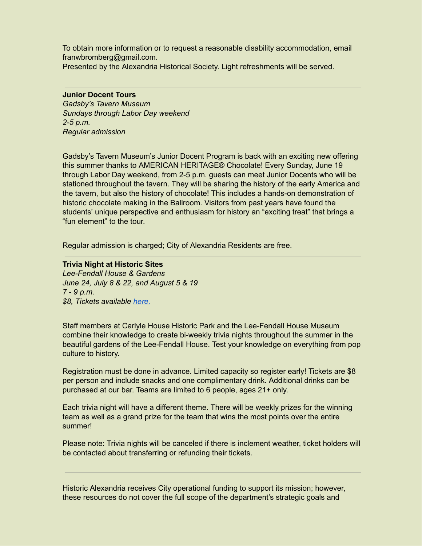To obtain more information or to request a reasonable disability accommodation, email franwbromberg@gmail.com.

Presented by the Alexandria Historical Society. Light refreshments will be served.

## **Junior Docent Tours**

*Gadsby's Tavern Museum Sundays through Labor Day weekend 2-5 p.m. Regular admission*

Gadsby's Tavern Museum's Junior Docent Program is back with an exciting new offering this summer thanks to AMERICAN HERITAGE® Chocolate! Every Sunday, June 19 through Labor Day weekend, from 2-5 p.m. guests can meet Junior Docents who will be stationed throughout the tavern. They will be sharing the history of the early America and the tavern, but also the history of chocolate! This includes a hands-on demonstration of historic chocolate making in the Ballroom. Visitors from past years have found the students' unique perspective and enthusiasm for history an "exciting treat" that brings a "fun element" to the tour.

Regular admission is charged; City of Alexandria Residents are free.

**Trivia Night at Historic Sites** *Lee-Fendall House & Gardens June 24, July 8 & 22, and August 5 & 19 7 - 9 p.m. \$8, Tickets available [here.](https://www.eventbrite.com/e/trivia-nights-at-historic-sites-tickets-312454167827?aff=ebdssbdestsearch)*

Staff members at Carlyle House Historic Park and the Lee-Fendall House Museum combine their knowledge to create bi-weekly trivia nights throughout the summer in the beautiful gardens of the Lee-Fendall House. Test your knowledge on everything from pop culture to history.

Registration must be done in advance. Limited capacity so register early! Tickets are \$8 per person and include snacks and one complimentary drink. Additional drinks can be purchased at our bar. Teams are limited to 6 people, ages 21+ only.

Each trivia night will have a different theme. There will be weekly prizes for the winning team as well as a grand prize for the team that wins the most points over the entire summer!

Please note: Trivia nights will be canceled if there is inclement weather, ticket holders will be contacted about transferring or refunding their tickets.

Historic Alexandria receives City operational funding to support its mission; however, these resources do not cover the full scope of the department's strategic goals and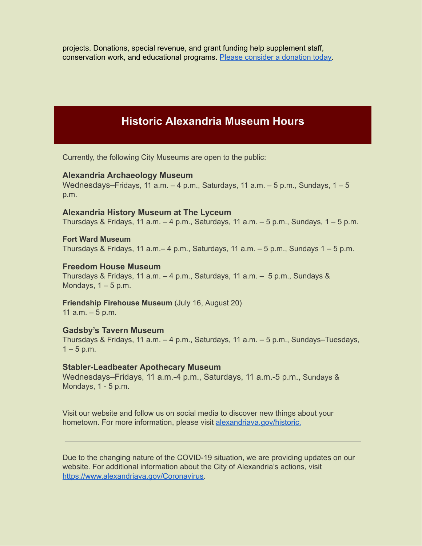projects. Donations, special revenue, and grant funding help supplement staff, conservation work, and educational programs. Please consider a [donation](https://shop.alexandriava.gov/Donations.aspx) today.

## **Historic Alexandria Museum Hours**

Currently, the following City Museums are open to the public:

### **Alexandria Archaeology Museum**

Wednesdays–Fridays, 11 a.m.  $-4$  p.m., Saturdays, 11 a.m.  $-5$  p.m., Sundays,  $1-5$ p.m.

### **Alexandria History Museum at The Lyceum**

Thursdays & Fridays, 11 a.m.  $-4$  p.m., Saturdays, 11 a.m.  $-5$  p.m., Sundays, 1  $-5$  p.m.

## **Fort Ward Museum**

Thursdays & Fridays, 11 a.m. – 4 p.m., Saturdays, 11 a.m. – 5 p.m., Sundays  $1 - 5$  p.m.

## **Freedom House Museum**

Thursdays & Fridays, 11 a.m. – 4 p.m., Saturdays, 11 a.m. – 5 p.m., Sundays & Mondays,  $1 - 5$  p.m.

**Friendship Firehouse Museum** (July 16, August 20) 11  $a.m. - 5 p.m.$ 

## **Gadsby's Tavern Museum**

Thursdays & Fridays, 11 a.m. – 4 p.m., Saturdays, 11 a.m. – 5 p.m., Sundays–Tuesdays,  $1 - 5$  p.m.

#### **Stabler-Leadbeater Apothecary Museum**

Wednesdays–Fridays, 11 a.m.-4 p.m., Saturdays, 11 a.m.-5 p.m., Sundays & Mondays, 1 - 5 p.m.

Visit our website and follow us on social media to discover new things about your hometown. For more information, please visit [alexandriava.gov/historic.](https://www.alexandriava.gov/Historic)

Due to the changing nature of the COVID-19 situation, we are providing updates on our website. For additional information about the City of Alexandria's actions, visit [https://www.alexandriava.gov/Coronavirus.](https://www.alexandriava.gov/Coronavirus)